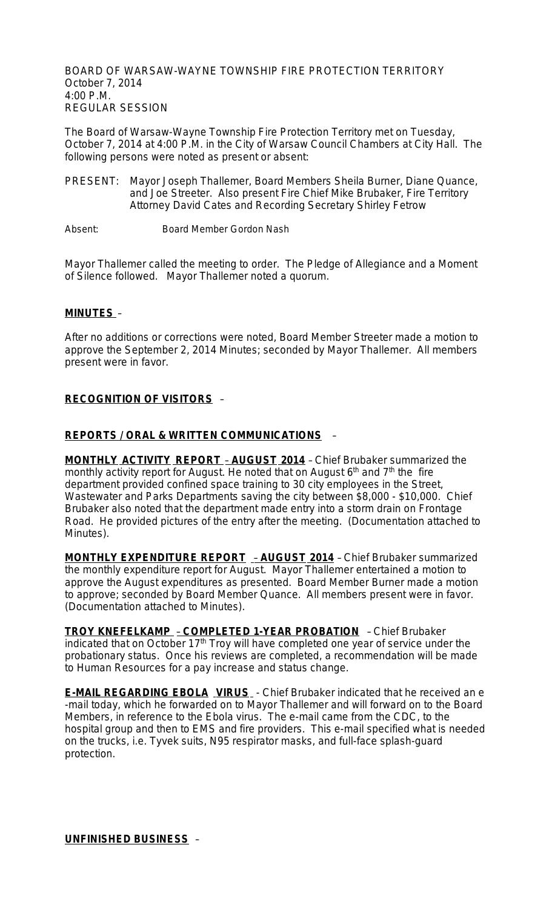BOARD OF WARSAW-WAYNE TOWNSHIP FIRE PROTECTION TERRITORY October 7, 2014 4:00 P.M. REGULAR SESSION

The Board of Warsaw-Wayne Township Fire Protection Territory met on Tuesday, October 7, 2014 at 4:00 P.M. in the City of Warsaw Council Chambers at City Hall. The following persons were noted as present or absent:

- PRESENT: Mayor Joseph Thallemer, Board Members Sheila Burner, Diane Quance, and Joe Streeter. Also present Fire Chief Mike Brubaker, Fire Territory Attorney David Cates and Recording Secretary Shirley Fetrow
- Absent: Board Member Gordon Nash

Mayor Thallemer called the meeting to order. The Pledge of Allegiance and a Moment of Silence followed. Mayor Thallemer noted a quorum.

### **MINUTES** –

After no additions or corrections were noted, Board Member Streeter made a motion to approve the September 2, 2014 Minutes; seconded by Mayor Thallemer. All members present were in favor.

### **RECOGNITION OF VISITORS** –

#### **REPORTS / ORAL & WRITTEN COMMUNICATIONS** –

**MONTHLY ACTIVITY REPORT** – **AUGUST 2014** – Chief Brubaker summarized the monthly activity report for August. He noted that on August  $6<sup>th</sup>$  and  $7<sup>th</sup>$  the fire department provided confined space training to 30 city employees in the Street, Wastewater and Parks Departments saving the city between \$8,000 - \$10,000. Chief Brubaker also noted that the department made entry into a storm drain on Frontage Road. He provided pictures of the entry after the meeting. (Documentation attached to Minutes).

**MONTHLY EXPENDITURE REPORT** – **AUGUST 2014** – Chief Brubaker summarized the monthly expenditure report for August. Mayor Thallemer entertained a motion to approve the August expenditures as presented. Board Member Burner made a motion to approve; seconded by Board Member Quance. All members present were in favor. (Documentation attached to Minutes).

**TROY KNEFELKAMP** – **COMPLETED 1-YEAR PROBATION** – Chief Brubaker indicated that on October  $17<sup>th</sup>$  Troy will have completed one year of service under the probationary status. Once his reviews are completed, a recommendation will be made to Human Resources for a pay increase and status change.

**E-MAIL REGARDING EBOLA VIRUS** - Chief Brubaker indicated that he received an e -mail today, which he forwarded on to Mayor Thallemer and will forward on to the Board Members, in reference to the Ebola virus. The e-mail came from the CDC, to the hospital group and then to EMS and fire providers. This e-mail specified what is needed on the trucks, i.e. Tyvek suits, N95 respirator masks, and full-face splash-guard protection.

**UNFINISHED BUSINESS** –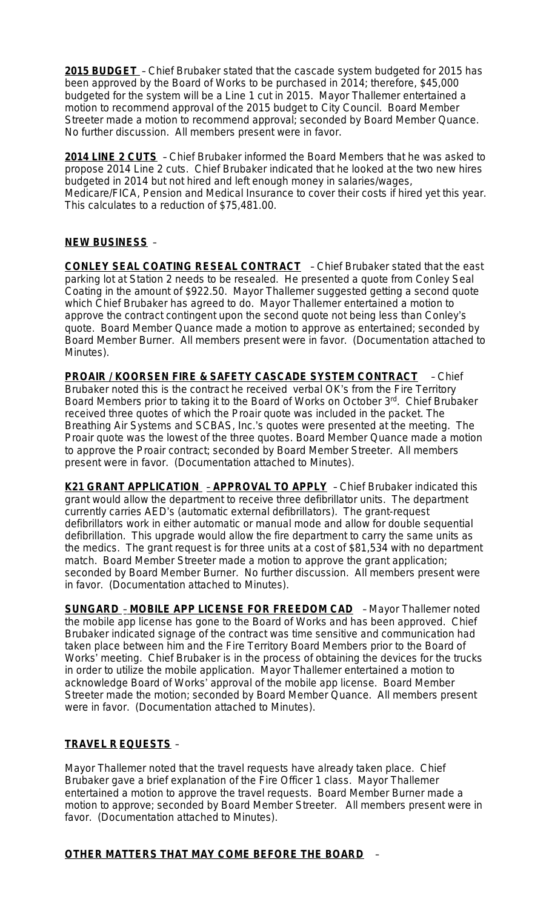**2015 BUDGET** – Chief Brubaker stated that the cascade system budgeted for 2015 has been approved by the Board of Works to be purchased in 2014; therefore, \$45,000 budgeted for the system will be a Line 1 cut in 2015. Mayor Thallemer entertained a motion to recommend approval of the 2015 budget to City Council. Board Member Streeter made a motion to recommend approval; seconded by Board Member Quance. No further discussion. All members present were in favor.

**2014 LINE 2 CUTS** – Chief Brubaker informed the Board Members that he was asked to propose 2014 Line 2 cuts. Chief Brubaker indicated that he looked at the two new hires budgeted in 2014 but not hired and left enough money in salaries/wages, Medicare/FICA, Pension and Medical Insurance to cover their costs if hired yet this year. This calculates to a reduction of \$75,481.00.

### **NEW BUSINESS** –

**CONLEY SEAL COATING RESEAL CONTRACT** – Chief Brubaker stated that the east parking lot at Station 2 needs to be resealed. He presented a quote from Conley Seal Coating in the amount of \$922.50. Mayor Thallemer suggested getting a second quote which Chief Brubaker has agreed to do. Mayor Thallemer entertained a motion to approve the contract contingent upon the second quote not being less than Conley's quote. Board Member Quance made a motion to approve as entertained; seconded by Board Member Burner. All members present were in favor. (Documentation attached to Minutes).

**PROAIR / KOORSEN FIRE & SAFETY CASCADE SYSTEM CONTRACT** – Chief Brubaker noted this is the contract he received verbal OK's from the Fire Territory Board Members prior to taking it to the Board of Works on October 3rd. Chief Brubaker received three quotes of which the Proair quote was included in the packet. The Breathing Air Systems and SCBAS, Inc.'s quotes were presented at the meeting. The Proair quote was the lowest of the three quotes. Board Member Quance made a motion to approve the Proair contract; seconded by Board Member Streeter. All members present were in favor. (Documentation attached to Minutes).

**K21 GRANT APPLICATION** – **APPROVAL TO APPLY** – Chief Brubaker indicated this grant would allow the department to receive three defibrillator units. The department currently carries AED's (automatic external defibrillators). The grant-request defibrillators work in either automatic or manual mode and allow for double sequential defibrillation. This upgrade would allow the fire department to carry the same units as the medics. The grant request is for three units at a cost of \$81,534 with no department match. Board Member Streeter made a motion to approve the grant application; seconded by Board Member Burner. No further discussion. All members present were in favor. (Documentation attached to Minutes).

**SUNGARD** – **MOBILE APP LICENSE FOR FREEDOM CAD** – Mayor Thallemer noted the mobile app license has gone to the Board of Works and has been approved. Chief Brubaker indicated signage of the contract was time sensitive and communication had taken place between him and the Fire Territory Board Members prior to the Board of Works' meeting. Chief Brubaker is in the process of obtaining the devices for the trucks in order to utilize the mobile application. Mayor Thallemer entertained a motion to acknowledge Board of Works' approval of the mobile app license. Board Member Streeter made the motion; seconded by Board Member Quance. All members present were in favor. (Documentation attached to Minutes).

# **TRAVEL R EQUESTS** –

Mayor Thallemer noted that the travel requests have already taken place. Chief Brubaker gave a brief explanation of the Fire Officer 1 class. Mayor Thallemer entertained a motion to approve the travel requests. Board Member Burner made a motion to approve; seconded by Board Member Streeter. All members present were in favor. (Documentation attached to Minutes).

# **OTHER MATTERS THAT MAY COME BEFORE THE BOARD** –